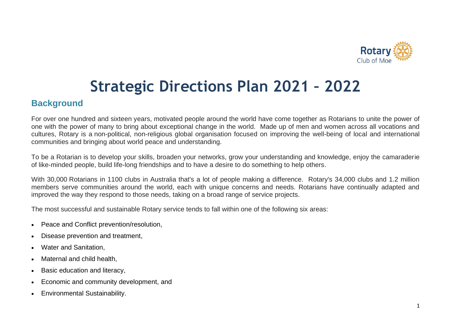

# **Strategic Directions Plan 2021 – 2022**

#### **Background**

For over one hundred and sixteen years, motivated people around the world have come together as Rotarians to unite the power of one with the power of many to bring about exceptional change in the world. Made up of men and women across all vocations and cultures, Rotary is a non-political, non-religious global organisation focused on improving the well-being of local and international communities and bringing about world peace and understanding.

To be a Rotarian is to develop your skills, broaden your networks, grow your understanding and knowledge, enjoy the camaraderie of like-minded people, build life-long friendships and to have a desire to do something to help others.

With 30,000 Rotarians in 1100 clubs in Australia that's a lot of people making a difference. Rotary's 34,000 clubs and 1.2 million members serve communities around the world, each with unique concerns and needs. Rotarians have continually adapted and improved the way they respond to those needs, taking on a broad range of service projects.

The most successful and sustainable Rotary service tends to fall within one of the following six areas:

- Peace and Conflict prevention/resolution,
- Disease prevention and treatment,
- Water and Sanitation,
- Maternal and child health,
- Basic education and literacy,
- Economic and community development, and
- Environmental Sustainability.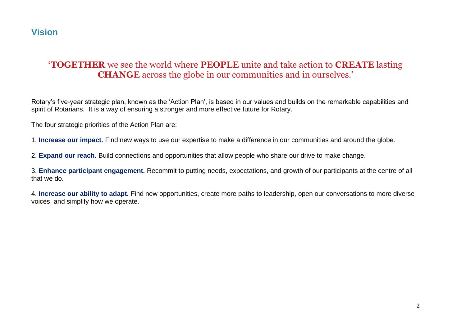## **Vision**

### **'TOGETHER** we see the world where **PEOPLE** unite and take action to **CREATE** lasting **CHANGE** across the globe in our communities and in ourselves.'

Rotary's five-year strategic plan, known as the 'Action Plan', is based in our values and builds on the remarkable capabilities and spirit of Rotarians. It is a way of ensuring a stronger and more effective future for Rotary.

The four strategic priorities of the Action Plan are:

1. **Increase our impact.** Find new ways to use our expertise to make a difference in our communities and around the globe.

2. **Expand our reach.** Build connections and opportunities that allow people who share our drive to make change.

3. **Enhance participant engagement.** Recommit to putting needs, expectations, and growth of our participants at the centre of all that we do.

4. **Increase our ability to adapt.** Find new opportunities, create more paths to leadership, open our conversations to more diverse voices, and simplify how we operate.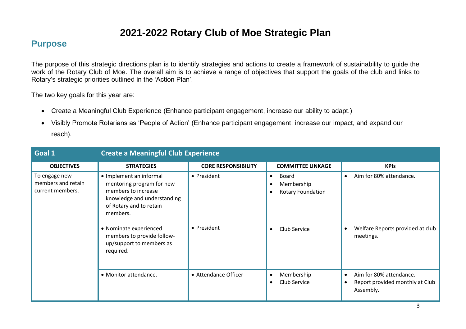# **2021-2022 Rotary Club of Moe Strategic Plan**

#### **Purpose**

The purpose of this strategic directions plan is to identify strategies and actions to create a framework of sustainability to guide the work of the Rotary Club of Moe. The overall aim is to achieve a range of objectives that support the goals of the club and links to Rotary's strategic priorities outlined in the 'Action Plan'.

The two key goals for this year are:

- Create a Meaningful Club Experience (Enhance participant engagement, increase our ability to adapt.)
- Visibly Promote Rotarians as 'People of Action' (Enhance participant engagement, increase our impact, and expand our reach).

| Goal 1                                                  | <b>Create a Meaningful Club Experience</b>                                                                                                                                                                                                         |                            |                                                                                           |                                                                                                   |
|---------------------------------------------------------|----------------------------------------------------------------------------------------------------------------------------------------------------------------------------------------------------------------------------------------------------|----------------------------|-------------------------------------------------------------------------------------------|---------------------------------------------------------------------------------------------------|
| <b>OBJECTIVES</b>                                       | <b>STRATEGIES</b>                                                                                                                                                                                                                                  | <b>CORE RESPONSIBILITY</b> | <b>COMMITTEE LINKAGE</b>                                                                  | <b>KPIs</b>                                                                                       |
| To engage new<br>members and retain<br>current members. | • Implement an informal<br>mentoring program for new<br>members to increase<br>knowledge and understanding<br>of Rotary and to retain<br>members.<br>• Nominate experienced<br>members to provide follow-<br>up/support to members as<br>required. | • President<br>• President | Board<br>$\bullet$<br>Membership<br><b>Rotary Foundation</b><br>$\bullet$<br>Club Service | Aim for 80% attendance.<br>$\bullet$<br>Welfare Reports provided at club<br>meetings.             |
|                                                         | • Monitor attendance.                                                                                                                                                                                                                              | • Attendance Officer       | Membership<br>Club Service<br>$\bullet$                                                   | Aim for 80% attendance.<br>$\bullet$<br>Report provided monthly at Club<br>$\bullet$<br>Assembly. |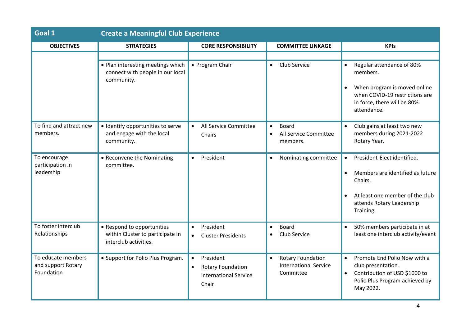| Goal 1                                                 | <b>Create a Meaningful Club Experience</b>                                              |                                                                                                          |                                                                                    |                                                                                                                                                                    |
|--------------------------------------------------------|-----------------------------------------------------------------------------------------|----------------------------------------------------------------------------------------------------------|------------------------------------------------------------------------------------|--------------------------------------------------------------------------------------------------------------------------------------------------------------------|
| <b>OBJECTIVES</b>                                      | <b>STRATEGIES</b>                                                                       | <b>CORE RESPONSIBILITY</b>                                                                               | <b>COMMITTEE LINKAGE</b>                                                           | <b>KPIs</b>                                                                                                                                                        |
|                                                        |                                                                                         |                                                                                                          |                                                                                    |                                                                                                                                                                    |
|                                                        | • Plan interesting meetings which<br>connect with people in our local<br>community.     | • Program Chair                                                                                          | Club Service<br>$\bullet$                                                          | Regular attendance of 80%<br>members.<br>When program is moved online<br>$\bullet$<br>when COVID-19 restrictions are<br>in force, there will be 80%<br>attendance. |
| To find and attract new<br>members.                    | · Identify opportunities to serve<br>and engage with the local<br>community.            | All Service Committee<br>Chairs                                                                          | <b>Board</b><br>All Service Committee<br>$\bullet$<br>members.                     | Club gains at least two new<br>members during 2021-2022<br>Rotary Year.                                                                                            |
| To encourage<br>participation in<br>leadership         | • Reconvene the Nominating<br>committee.                                                | President<br>$\bullet$                                                                                   | Nominating committee                                                               | President-Elect identified.<br>Members are identified as future<br>Chairs.<br>At least one member of the club<br>attends Rotary Leadership<br>Training.            |
| To foster Interclub<br>Relationships                   | • Respond to opportunities<br>within Cluster to participate in<br>interclub activities. | President<br>$\bullet$<br><b>Cluster Presidents</b>                                                      | <b>Board</b><br>$\bullet$<br>Club Service                                          | 50% members participate in at<br>$\bullet$<br>least one interclub activity/event                                                                                   |
| To educate members<br>and support Rotary<br>Foundation | • Support for Polio Plus Program.                                                       | President<br>$\bullet$<br><b>Rotary Foundation</b><br>$\bullet$<br><b>International Service</b><br>Chair | <b>Rotary Foundation</b><br>$\bullet$<br><b>International Service</b><br>Committee | Promote End Polio Now with a<br>$\bullet$<br>club presentation.<br>Contribution of USD \$1000 to<br>$\bullet$<br>Polio Plus Program achieved by<br>May 2022.       |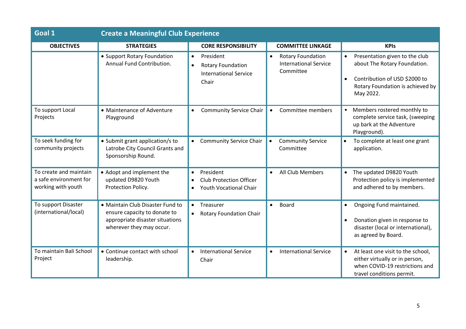| Goal 1                                                                 | <b>Create a Meaningful Club Experience</b>                                                                                      |                                                                                             |                                                                                    |                                                                                                                                                                            |
|------------------------------------------------------------------------|---------------------------------------------------------------------------------------------------------------------------------|---------------------------------------------------------------------------------------------|------------------------------------------------------------------------------------|----------------------------------------------------------------------------------------------------------------------------------------------------------------------------|
| <b>OBJECTIVES</b>                                                      | <b>STRATEGIES</b>                                                                                                               | <b>CORE RESPONSIBILITY</b>                                                                  | <b>COMMITTEE LINKAGE</b>                                                           | <b>KPIs</b>                                                                                                                                                                |
|                                                                        | • Support Rotary Foundation<br>Annual Fund Contribution.                                                                        | President<br>$\bullet$<br><b>Rotary Foundation</b><br><b>International Service</b><br>Chair | <b>Rotary Foundation</b><br>$\bullet$<br><b>International Service</b><br>Committee | Presentation given to the club<br>$\bullet$<br>about The Rotary Foundation.<br>Contribution of USD \$2000 to<br>$\bullet$<br>Rotary Foundation is achieved by<br>May 2022. |
| To support Local<br>Projects                                           | • Maintenance of Adventure<br>Playground                                                                                        | <b>Community Service Chair</b>                                                              | Committee members<br>$\bullet$                                                     | Members rostered monthly to<br>complete service task, (sweeping<br>up bark at the Adventure<br>Playground).                                                                |
| To seek funding for<br>community projects                              | • Submit grant application/s to<br>Latrobe City Council Grants and<br>Sponsorship Round.                                        | <b>Community Service Chair</b>                                                              | <b>Community Service</b><br>$\bullet$<br>Committee                                 | To complete at least one grant<br>$\bullet$<br>application.                                                                                                                |
| To create and maintain<br>a safe environment for<br>working with youth | • Adopt and implement the<br>updated D9820 Youth<br>Protection Policy.                                                          | President<br><b>Club Protection Officer</b><br>$\bullet$<br><b>Youth Vocational Chair</b>   | All Club Members<br>$\bullet$                                                      | The updated D9820 Youth<br>Protection policy is implemented<br>and adhered to by members.                                                                                  |
| To support Disaster<br>(international/local)                           | • Maintain Club Disaster Fund to<br>ensure capacity to donate to<br>appropriate disaster situations<br>wherever they may occur. | Treasurer<br><b>Rotary Foundation Chair</b><br>$\bullet$                                    | <b>Board</b><br>$\bullet$                                                          | Ongoing Fund maintained.<br>$\bullet$<br>Donation given in response to<br>$\bullet$<br>disaster (local or international),<br>as agreed by Board.                           |
| To maintain Bali School<br>Project                                     | • Continue contact with school<br>leadership.                                                                                   | <b>International Service</b><br>Chair                                                       | <b>International Service</b><br>$\bullet$                                          | At least one visit to the school,<br>$\bullet$<br>either virtually or in person,<br>when COVID-19 restrictions and<br>travel conditions permit.                            |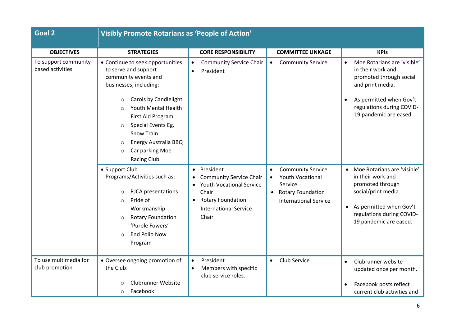| <b>Goal 2</b>                             | <b>Visibly Promote Rotarians as 'People of Action'</b>                                                                                                                                                                                                                                                                           |                                                                                                                                                                                        |                                                                                                                                                      |                                                                                                                                                                                                |
|-------------------------------------------|----------------------------------------------------------------------------------------------------------------------------------------------------------------------------------------------------------------------------------------------------------------------------------------------------------------------------------|----------------------------------------------------------------------------------------------------------------------------------------------------------------------------------------|------------------------------------------------------------------------------------------------------------------------------------------------------|------------------------------------------------------------------------------------------------------------------------------------------------------------------------------------------------|
|                                           |                                                                                                                                                                                                                                                                                                                                  |                                                                                                                                                                                        |                                                                                                                                                      |                                                                                                                                                                                                |
| <b>OBJECTIVES</b>                         | <b>STRATEGIES</b>                                                                                                                                                                                                                                                                                                                | <b>CORE RESPONSIBILITY</b>                                                                                                                                                             | <b>COMMITTEE LINKAGE</b>                                                                                                                             | <b>KPIs</b>                                                                                                                                                                                    |
| To support community-<br>based activities | • Continue to seek opportunities<br>to serve and support<br>community events and<br>businesses, including:<br>Carols by Candlelight<br>$\circ$<br>Youth Mental Health<br>First Aid Program<br>Special Events Eg.<br>$\circ$<br><b>Snow Train</b><br>Energy Australia BBQ<br>$\circ$<br>Car parking Moe<br>$\circ$<br>Racing Club | <b>Community Service Chair</b><br>$\bullet$<br>President                                                                                                                               | <b>Community Service</b><br>$\bullet$                                                                                                                | Moe Rotarians are 'visible'<br>$\bullet$<br>in their work and<br>promoted through social<br>and print media.<br>As permitted when Gov't<br>regulations during COVID-<br>19 pandemic are eased. |
|                                           | • Support Club<br>Programs/Activities such as:<br><b>RJCA</b> presentations<br>$\circ$<br>Pride of<br>$\circ$<br>Workmanship<br><b>Rotary Foundation</b><br>$\circ$<br>'Purple Fowers'<br><b>End Polio Now</b><br>$\Omega$<br>Program                                                                                            | President<br>$\bullet$<br><b>Community Service Chair</b><br><b>Youth Vocational Service</b><br>Chair<br><b>Rotary Foundation</b><br>$\bullet$<br><b>International Service</b><br>Chair | <b>Community Service</b><br><b>Youth Vocational</b><br>$\bullet$<br>Service<br><b>Rotary Foundation</b><br>$\bullet$<br><b>International Service</b> | Moe Rotarians are 'visible'<br>in their work and<br>promoted through<br>social/print media.<br>As permitted when Gov't<br>$\bullet$<br>regulations during COVID-<br>19 pandemic are eased.     |
| To use multimedia for<br>club promotion   | • Oversee ongoing promotion of<br>the Club:<br>Clubrunner Website<br>Facebook<br>$\Omega$                                                                                                                                                                                                                                        | President<br>$\bullet$<br>Members with specific<br>club service roles.                                                                                                                 | <b>Club Service</b><br>$\bullet$                                                                                                                     | Clubrunner website<br>updated once per month.<br>Facebook posts reflect<br>current club activities and                                                                                         |